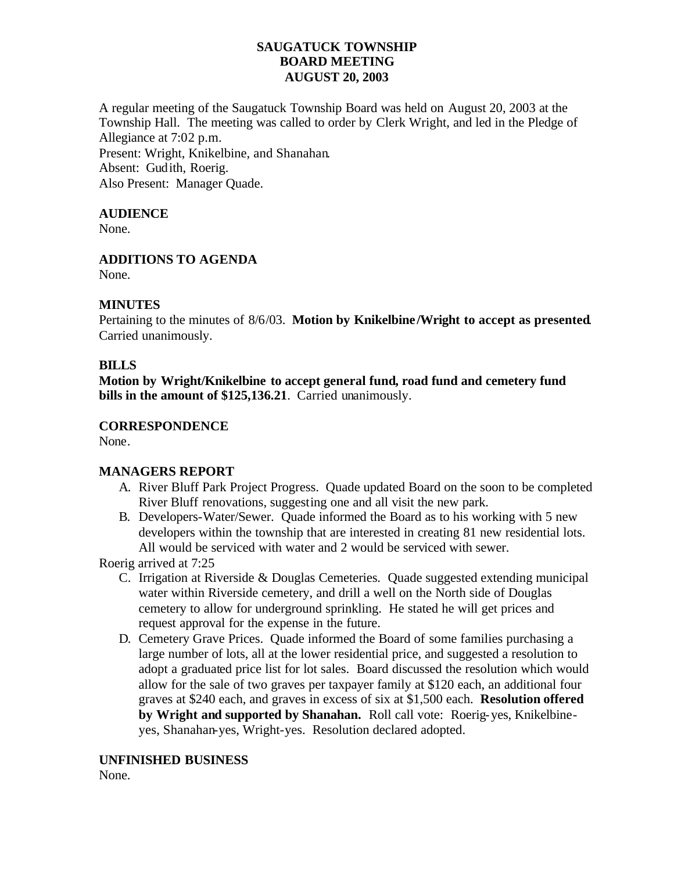### **SAUGATUCK TOWNSHIP BOARD MEETING AUGUST 20, 2003**

A regular meeting of the Saugatuck Township Board was held on August 20, 2003 at the Township Hall. The meeting was called to order by Clerk Wright, and led in the Pledge of Allegiance at 7:02 p.m.

Present: Wright, Knikelbine, and Shanahan. Absent: Gudith, Roerig. Also Present: Manager Quade.

# **AUDIENCE**

None.

**ADDITIONS TO AGENDA**

None.

### **MINUTES**

Pertaining to the minutes of 8/6/03. **Motion by Knikelbine /Wright to accept as presented**. Carried unanimously.

### **BILLS**

**Motion by Wright/Knikelbine to accept general fund, road fund and cemetery fund bills in the amount of \$125,136.21**. Carried unanimously.

# **CORRESPONDENCE**

None.

# **MANAGERS REPORT**

- A. River Bluff Park Project Progress. Quade updated Board on the soon to be completed River Bluff renovations, suggesting one and all visit the new park.
- B. Developers-Water/Sewer. Quade informed the Board as to his working with 5 new developers within the township that are interested in creating 81 new residential lots. All would be serviced with water and 2 would be serviced with sewer.

Roerig arrived at 7:25

- C. Irrigation at Riverside & Douglas Cemeteries. Quade suggested extending municipal water within Riverside cemetery, and drill a well on the North side of Douglas cemetery to allow for underground sprinkling. He stated he will get prices and request approval for the expense in the future.
- D. Cemetery Grave Prices. Quade informed the Board of some families purchasing a large number of lots, all at the lower residential price, and suggested a resolution to adopt a graduated price list for lot sales. Board discussed the resolution which would allow for the sale of two graves per taxpayer family at \$120 each, an additional four graves at \$240 each, and graves in excess of six at \$1,500 each. **Resolution offered by Wright and supported by Shanahan.** Roll call vote: Roerig-yes, Knikelbineyes, Shanahan-yes, Wright-yes. Resolution declared adopted.

### **UNFINISHED BUSINESS**

None.